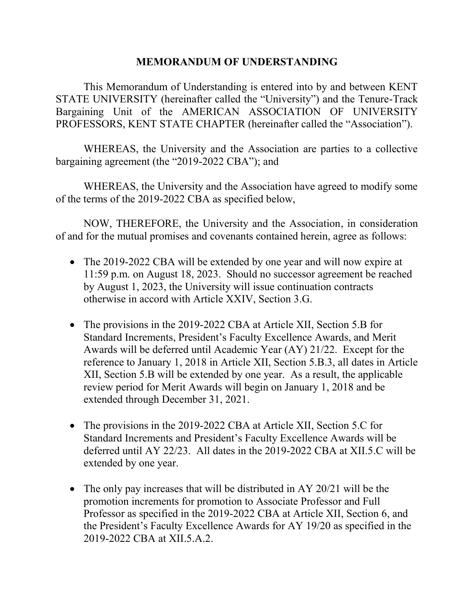## **MEMORANDUM OF UNDERSTANDING**

This Memorandum of Understanding is entered into by and between KENT STATE UNIVERSITY (hereinafter called the "University") and the Tenure-Track Bargaining Unit of the AMERICAN ASSOCIATION OF UNIVERSITY PROFESSORS, KENT STATE CHAPTER (hereinafter called the "Association").

WHEREAS, the University and the Association are parties to a collective bargaining agreement (the "2019-2022 CBA"); and

WHEREAS, the University and the Association have agreed to modify some of the terms of the 2019-2022 CBA as specified below,

NOW, THEREFORE, the University and the Association, in consideration of and for the mutual promises and covenants contained herein, agree as follows:

- The 2019-2022 CBA will be extended by one year and will now expire at 11:59 p.m. on August 18, 2023. Should no successor agreement be reached by August 1, 2023, the University will issue continuation contracts otherwise in accord with Article XXIV, Section 3.G.
- The provisions in the 2019-2022 CBA at Article XII, Section 5.B for Standard Increments, President's Faculty Excellence Awards, and Merit Awards will be deferred until Academic Year (AY) 21/22. Except for the reference to January 1, 2018 in Article XII, Section 5.B.3, all dates in Article XII, Section 5.B will be extended by one year. As a result, the applicable review period for Merit Awards will begin on January 1, 2018 and be extended through December 31, 2021.
- The provisions in the 2019-2022 CBA at Article XII, Section 5.C for Standard Increments and President's Faculty Excellence Awards will be deferred until AY 22/23. All dates in the 2019-2022 CBA at XII.5.C will be extended by one year.
- The only pay increases that will be distributed in AY 20/21 will be the promotion increments for promotion to Associate Professor and Full Professor as specified in the 2019-2022 CBA at Article XII, Section 6, and the President's Faculty Excellence Awards for AY 19/20 as specified in the 2019-2022 CBA at XII.5.A.2.